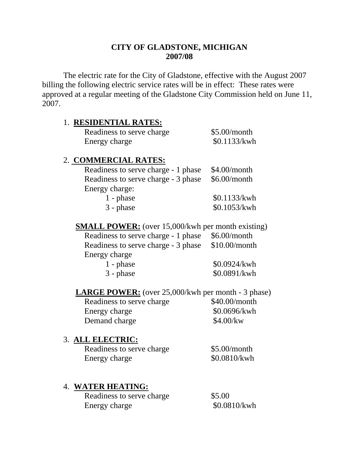# **CITY OF GLADSTONE, MICHIGAN 2007/08**

 The electric rate for the City of Gladstone, effective with the August 2007 billing the following electric service rates will be in effect: These rates were approved at a regular meeting of the Gladstone City Commission held on June 11, 2007.

### 1. **RESIDENTIAL RATES:**

| Readiness to serve charge | \$5.00/month |
|---------------------------|--------------|
| Energy charge             | \$0.1133/kwh |

### 2. **COMMERCIAL RATES:**

| Readiness to serve charge - 1 phase \$4.00/month |              |
|--------------------------------------------------|--------------|
| Readiness to serve charge - 3 phase \$6.00/month |              |
| Energy charge:                                   |              |
| $1$ - phase                                      | \$0.1133/kwh |
| $3$ - phase                                      | \$0.1053/kwh |

**SMALL POWER:** (over 15,000/kwh per month existing)

Readiness to serve charge - 1 phase \$6.00/month Readiness to serve charge - 3 phase \$10.00/month Energy charge

| $1$ - phase | \$0.0924/kwh |
|-------------|--------------|
| $3$ - phase | \$0.0891/kwh |

#### **LARGE POWER:** (over 25,000/kwh per month - 3 phase)

Readiness to serve charge \$40.00/month Energy charge  $$0.0696/kwh$ Demand charge \$4.00/kw

## 3. **ALL ELECTRIC:**

Readiness to serve charge \$5.00/month Energy charge  $$0.0810/kwh$ 

## 4. **WATER HEATING:**

| Readiness to serve charge | \$5.00       |
|---------------------------|--------------|
| Energy charge             | \$0.0810/kwh |